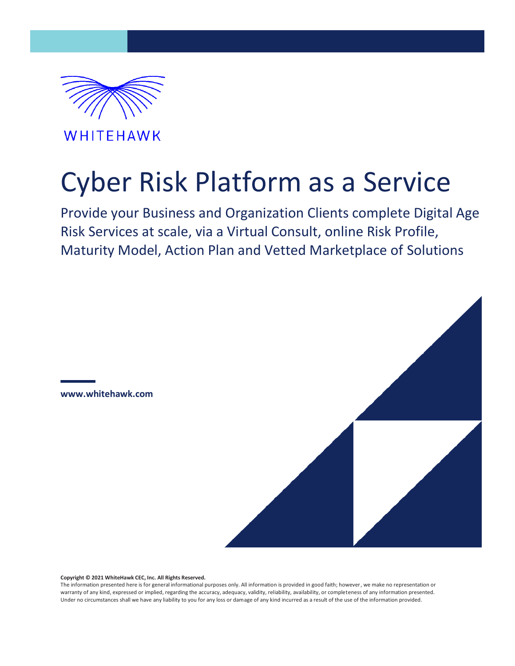

WHITEHAWK

# Cyber Risk Platform as a Service

Provide your Business and Organization Clients complete Digital Age Risk Services at scale, via a Virtual Consult, online Risk Profile, Maturity Model, Action Plan and Vetted Marketplace of Solutions





**Copyright © 2021 WhiteHawk CEC, Inc. All Rights Reserved.**

The information presented here is for general informational purposes only. All information is provided in good faith; however, we make no representation or warranty of any kind, expressed or implied, regarding the accuracy, adequacy, validity, reliability, availability, or completeness of any information presented. Under no circumstances shall we have any liability to you for any loss or damage of any kind incurred as a result of the use of the information provided.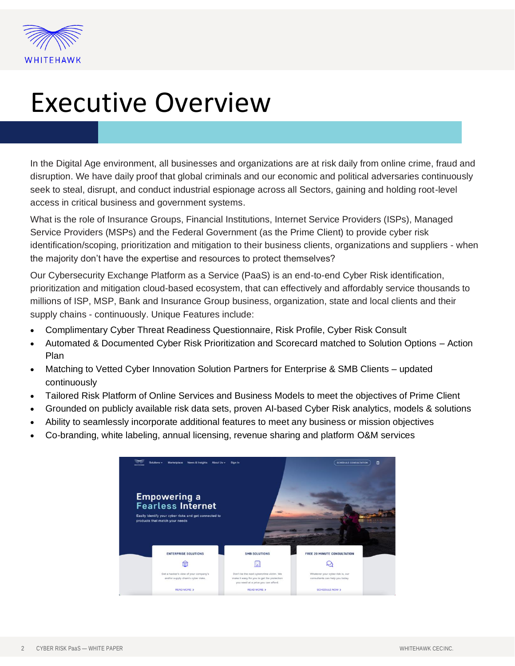

## Executive Overview

In the Digital Age environment, all businesses and organizations are at risk daily from online crime, fraud and disruption. We have daily proof that global criminals and our economic and political adversaries continuously seek to steal, disrupt, and conduct industrial espionage across all Sectors, gaining and holding root-level access in critical business and government systems.

What is the role of Insurance Groups, Financial Institutions, Internet Service Providers (ISPs), Managed Service Providers (MSPs) and the Federal Government (as the Prime Client) to provide cyber risk identification/scoping, prioritization and mitigation to their business clients, organizations and suppliers - when the majority don't have the expertise and resources to protect themselves?

Our Cybersecurity Exchange Platform as a Service (PaaS) is an end-to-end Cyber Risk identification, prioritization and mitigation cloud-based ecosystem, that can effectively and affordably service thousands to millions of ISP, MSP, Bank and Insurance Group business, organization, state and local clients and their supply chains - continuously. Unique Features include:

- Complimentary Cyber Threat Readiness Questionnaire, Risk Profile, Cyber Risk Consult
- Automated & Documented Cyber Risk Prioritization and Scorecard matched to Solution Options Action Plan
- Matching to Vetted Cyber Innovation Solution Partners for Enterprise & SMB Clients updated continuously
- Tailored Risk Platform of Online Services and Business Models to meet the objectives of Prime Client
- Grounded on publicly available risk data sets, proven AI-based Cyber Risk analytics, models & solutions
- Ability to seamlessly incorporate additional features to meet any business or mission objectives
- Co-branding, white labeling, annual licensing, revenue sharing and platform O&M services

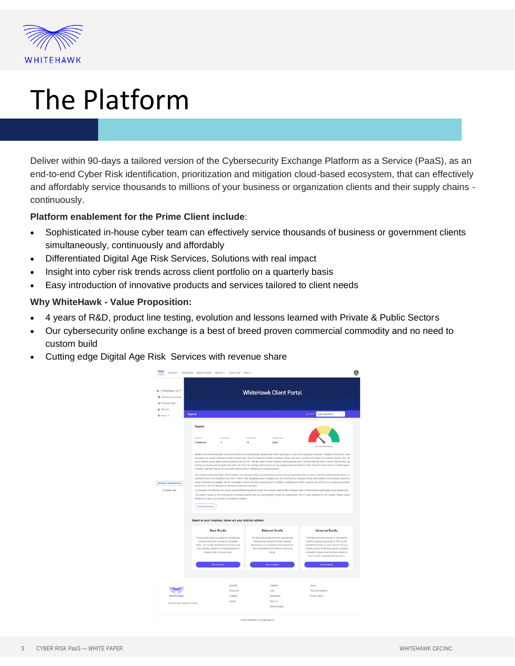

# The Platform

Deliver within 90-days a tailored version of the Cybersecurity Exchange Platform as a Service (PaaS), as an end-to-end Cyber Risk identification, prioritization and mitigation cloud-based ecosystem, that can effectively and affordably service thousands to millions of your business or organization clients and their supply chains continuously.

### **Platform enablement for the Prime Client include**:

- Sophisticated in-house cyber team can effectively service thousands of business or government clients simultaneously, continuously and affordably
- Differentiated Digital Age Risk Services, Solutions with real impact
- Insight into cyber risk trends across client portfolio on a quarterly basis
- Easy introduction of innovative products and services tailored to client needs

### **Why WhiteHawk - Value Proposition:**

- 4 years of R&D, product line testing, evolution and lessons learned with Private & Public Sectors
- Our cybersecurity online exchange is a best of breed proven commercial commodity and no need to custom build
- Cutting edge Digital Age Risk Services with revenue share

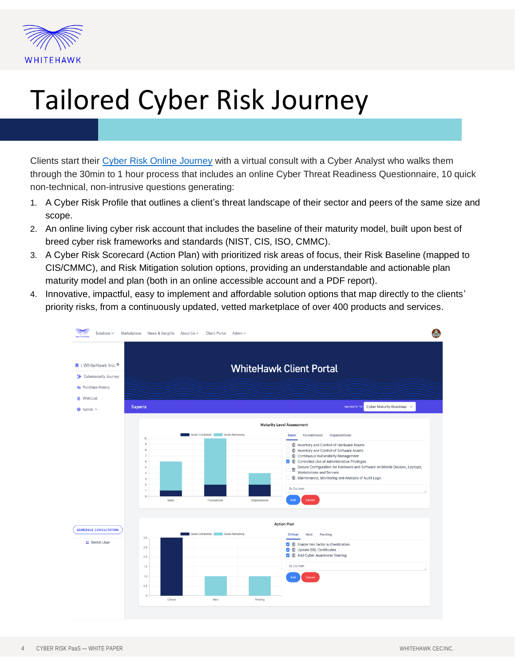

# Tailored Cyber Risk Journey

Clients start their [Cyber Risk Online Journey](https://www.whitehawk.com/cyber-risk-journey) with a virtual consult with a Cyber Analyst who walks them through the 30min to 1 hour process that includes an online Cyber Threat Readiness Questionnaire, 10 quick non-technical, non-intrusive questions generating:

- 1. A Cyber Risk Profile that outlines a client's threat landscape of their sector and peers of the same size and scope.
- 2. An online living cyber risk account that includes the baseline of their maturity model, built upon best of breed cyber risk frameworks and standards (NIST, CIS, ISO, CMMC).
- 3. A Cyber Risk Scorecard (Action Plan) with prioritized risk areas of focus, their Risk Baseline (mapped to CIS/CMMC), and Risk Mitigation solution options, providing an understandable and actionable plan maturity model and plan (both in an online accessible account and a PDF report).
- 4. Innovative, impactful, easy to implement and affordable solution options that map directly to the clients' priority risks, from a continuously updated, vetted marketplace of over 400 products and services.

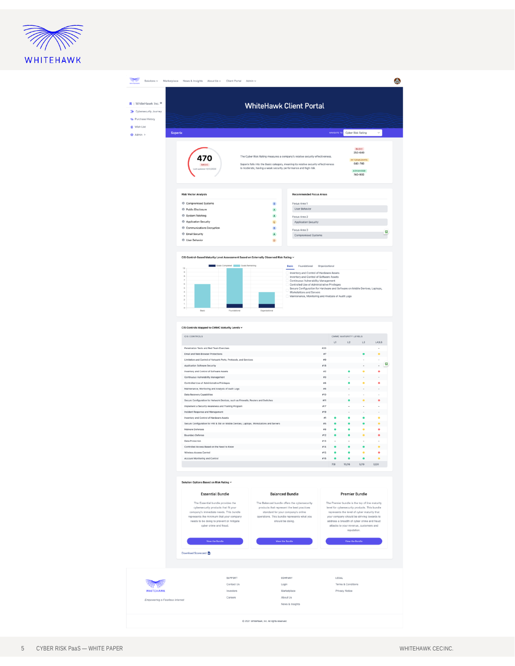

| R   WhiteHawk Inc. ©<br>* Cybersecurity Journey    |                                                                                                                 |                                        |              | <b>WhiteHawk Client Portal</b>                                                                                            |                |              |                        |                                                                                              |              |
|----------------------------------------------------|-----------------------------------------------------------------------------------------------------------------|----------------------------------------|--------------|---------------------------------------------------------------------------------------------------------------------------|----------------|--------------|------------------------|----------------------------------------------------------------------------------------------|--------------|
| <b>Ta</b> Purchase History                         |                                                                                                                 |                                        |              |                                                                                                                           |                |              |                        |                                                                                              |              |
| Wish List                                          |                                                                                                                 |                                        |              |                                                                                                                           |                |              |                        |                                                                                              |              |
| + Admin >                                          | <b>Saperix</b>                                                                                                  |                                        |              |                                                                                                                           |                | NAVIGATE TO: |                        | Cyber Risk Rating                                                                            | $\checkmark$ |
|                                                    |                                                                                                                 |                                        |              |                                                                                                                           |                |              |                        |                                                                                              |              |
|                                                    |                                                                                                                 |                                        |              |                                                                                                                           |                |              |                        | <b>BASIC</b><br>250-640                                                                      |              |
|                                                    | 470                                                                                                             |                                        |              | The Cyber Risk Rating measures a company's relative security effectiveness.                                               |                |              |                        | INTERMEDIATE                                                                                 |              |
|                                                    | <b>BASIC</b>                                                                                                    |                                        |              | Saperix falls into the Basic category, meaning its relative security effectiveness                                        |                |              |                        | 640-740                                                                                      |              |
|                                                    | dated 12/31/2020                                                                                                |                                        |              | is moderate, having a weak security performance and high risk.                                                            |                |              |                        | ADVANCED<br>740-900                                                                          |              |
|                                                    |                                                                                                                 |                                        |              |                                                                                                                           |                |              |                        |                                                                                              |              |
|                                                    |                                                                                                                 |                                        |              |                                                                                                                           |                |              |                        |                                                                                              |              |
|                                                    | <b>Risk Vector Analysis</b>                                                                                     |                                        |              | <b>Recommended Focus Areas</b>                                                                                            |                |              |                        |                                                                                              |              |
|                                                    | Compromised Systems                                                                                             |                                        | $\,$ B       | Focus Area 1                                                                                                              |                |              |                        |                                                                                              |              |
|                                                    | <sup>®</sup> Public Disclosure                                                                                  |                                        | $\,$ A       | User Behavior                                                                                                             |                |              |                        |                                                                                              |              |
|                                                    | <b>6</b> System Patching                                                                                        |                                        | $\Lambda$    | Focus Area 2                                                                                                              |                |              |                        |                                                                                              |              |
|                                                    | <b>6</b> Application Security                                                                                   |                                        | $\mathbf{c}$ | Application Security                                                                                                      |                |              |                        |                                                                                              |              |
|                                                    | Communications Encryption                                                                                       |                                        | $\mathsf B$  | Focus Area 3                                                                                                              |                |              |                        |                                                                                              |              |
|                                                    | <b><i>O</i></b> Email Security                                                                                  |                                        | $\,$ A $\,$  | Compromised Systems                                                                                                       |                |              |                        |                                                                                              |              |
|                                                    | <b><i>O</i></b> User Behavior                                                                                   |                                        | $\mathsf{D}$ |                                                                                                                           |                |              |                        |                                                                                              |              |
|                                                    |                                                                                                                 |                                        |              |                                                                                                                           |                |              |                        |                                                                                              |              |
|                                                    | CIS Control-Based Maturity Level Assessment Based on Externally Observed Risk Rating ~                          |                                        |              |                                                                                                                           |                |              |                        |                                                                                              |              |
|                                                    | 10                                                                                                              | Goals Completed <b>Coals</b> Goals Rem |              | Basic<br>Foundational                                                                                                     | Organizational |              |                        |                                                                                              |              |
|                                                    | $\,$                                                                                                            |                                        |              | Inventory and Control of Hardware Assets                                                                                  |                |              |                        |                                                                                              |              |
|                                                    | $_{\rm 8}$<br>$\overline{z}$                                                                                    |                                        |              | Inventory and Control of Software Assets<br>Continuous Vulnerability Management                                           |                |              |                        |                                                                                              |              |
|                                                    | $\alpha$<br>$\bar{5}$                                                                                           |                                        |              | Controlled Use of Administrative Privileges<br>Secure Configuration for Hardware and Software on Mobile Devices, Laptops, |                |              |                        |                                                                                              |              |
|                                                    | à.<br>$\begin{array}{c} 3 \end{array}$                                                                          |                                        |              | Workstations and Servers<br>Maintenance, Monitoring and Analysis of Audit Logs                                            |                |              |                        |                                                                                              |              |
|                                                    | $\overline{z}$                                                                                                  |                                        |              |                                                                                                                           |                |              |                        |                                                                                              |              |
|                                                    | 1<br>$\circ$<br>Basic                                                                                           |                                        |              |                                                                                                                           |                |              |                        |                                                                                              |              |
|                                                    |                                                                                                                 |                                        |              |                                                                                                                           |                |              |                        |                                                                                              |              |
|                                                    |                                                                                                                 |                                        |              |                                                                                                                           |                |              |                        |                                                                                              |              |
|                                                    | CIS Controls Mapped to CMMC Maturity Levels ~                                                                   |                                        |              |                                                                                                                           |                |              |                        |                                                                                              |              |
|                                                    | CIS CONTROLS                                                                                                    |                                        |              |                                                                                                                           |                |              | CMMC MATURITY LEVELS   |                                                                                              |              |
|                                                    |                                                                                                                 |                                        |              |                                                                                                                           |                |              |                        |                                                                                              |              |
|                                                    |                                                                                                                 |                                        |              |                                                                                                                           |                | L1           | L2                     | L3                                                                                           | L4/L5        |
|                                                    | Penetration Tests and Red Team Exercises                                                                        |                                        |              |                                                                                                                           | ar20           |              |                        |                                                                                              |              |
|                                                    | Email and Web Browser Protections<br>Limitation and Control of Network Ports, Protocols, and Services           |                                        |              |                                                                                                                           | 87<br>29       |              |                        |                                                                                              | ٠            |
|                                                    | Application Software Security                                                                                   |                                        |              |                                                                                                                           | m18            |              |                        |                                                                                              |              |
|                                                    | Inventory and Control of Software Assets                                                                        |                                        |              |                                                                                                                           | $\overline{z}$ |              |                        |                                                                                              |              |
|                                                    | Continuous Vulnerability Management                                                                             |                                        |              |                                                                                                                           | #3             |              |                        |                                                                                              |              |
|                                                    | Controlled Use of Administrative Privileges                                                                     |                                        |              |                                                                                                                           | 84             |              |                        |                                                                                              |              |
|                                                    | Maintenance, Monitoring and Analysis of Audit Logs                                                              |                                        |              |                                                                                                                           | #6             |              |                        |                                                                                              |              |
|                                                    | Data Recovery Capabilities<br>Secure Configuration for Network Devices, such as Firewalls, Routers and Switches |                                        |              |                                                                                                                           | 810<br>N11     |              |                        |                                                                                              |              |
|                                                    | Implement a Security Awareness and Training Program                                                             |                                        |              |                                                                                                                           | #17            |              |                        |                                                                                              |              |
|                                                    | Incident Response and Management                                                                                |                                        |              |                                                                                                                           | H19            |              |                        |                                                                                              |              |
|                                                    | Inventory and Control of Hardware Assets                                                                        |                                        |              |                                                                                                                           | $\equiv$ 1     |              |                        |                                                                                              |              |
|                                                    | Secure Configuration for HW & SW on Mobile Devices, Laptops, Workstations and Servers                           |                                        |              |                                                                                                                           | #5             |              |                        |                                                                                              |              |
|                                                    | Malware Defenses<br><b>Boundary Defense</b>                                                                     |                                        |              |                                                                                                                           | #8<br>#12      |              |                        |                                                                                              |              |
|                                                    | <b>Data Protection</b>                                                                                          |                                        |              |                                                                                                                           | H13            |              |                        |                                                                                              |              |
|                                                    | Controlled Access Based on the Need to Know                                                                     |                                        |              |                                                                                                                           | 814            |              |                        | ٠                                                                                            | ٠            |
|                                                    | Wireless Access Control                                                                                         |                                        |              |                                                                                                                           | $\#15$         | $\bullet$    | $\bullet$              | $\bullet$                                                                                    | ٠            |
|                                                    | Account Monitoring and Control                                                                                  |                                        |              |                                                                                                                           | 876            | $\bullet$    | $\blacksquare$         | $\bullet$                                                                                    | $\bullet$    |
|                                                    |                                                                                                                 |                                        |              |                                                                                                                           |                | 7/8          | 10/16                  | 5/19                                                                                         | 0/20         |
|                                                    |                                                                                                                 |                                        |              |                                                                                                                           |                |              |                        |                                                                                              |              |
|                                                    | Solution Options Based on Risk Rating ~                                                                         |                                        |              |                                                                                                                           |                |              |                        |                                                                                              |              |
|                                                    |                                                                                                                 |                                        |              |                                                                                                                           |                |              |                        |                                                                                              |              |
|                                                    | <b>Essential Bundle</b>                                                                                         |                                        |              | <b>Balanced Bundle</b>                                                                                                    |                |              | <b>Premier Bundle</b>  |                                                                                              |              |
|                                                    | The Essential bundle provides the                                                                               |                                        |              | The Balanced bundle offers the cybersecurity                                                                              |                |              |                        | The Premier bundle is the top of line maturity                                               |              |
|                                                    | cybersecurity products that fit your<br>company's immediate needs. This bundle                                  |                                        |              | products that represent the best practices<br>standard for your company's online                                          |                |              |                        | level for cybersecurity products. This bundle<br>represents the level of cyber maturity that |              |
|                                                    | represents the minimum that your company                                                                        |                                        |              | operations. This bundle represents what you                                                                               |                |              |                        | your company should be striving towards to                                                   |              |
|                                                    | needs to be doing to prevent or mitigate<br>cyber crime and fraud.                                              |                                        |              | should be doing.                                                                                                          |                |              |                        | address a breadth of cyber crime and fraud<br>attacks to your revenue, customers and         |              |
|                                                    |                                                                                                                 |                                        |              |                                                                                                                           |                |              | reputation.            |                                                                                              |              |
|                                                    |                                                                                                                 |                                        |              |                                                                                                                           |                |              |                        |                                                                                              |              |
|                                                    | View the Bundle                                                                                                 |                                        |              | <b>View the Bundle</b>                                                                                                    |                |              | <b>View the Bundle</b> |                                                                                              |              |
|                                                    | Download Scorecard                                                                                              |                                        |              |                                                                                                                           |                |              |                        |                                                                                              |              |
|                                                    |                                                                                                                 |                                        |              |                                                                                                                           |                |              |                        |                                                                                              |              |
|                                                    |                                                                                                                 |                                        |              |                                                                                                                           |                |              |                        |                                                                                              |              |
|                                                    |                                                                                                                 | SUPPORT                                |              | COMPANY                                                                                                                   |                | LEGAL        |                        |                                                                                              |              |
|                                                    |                                                                                                                 | Contact Us                             |              | Login                                                                                                                     |                |              | Terms & Conditions     |                                                                                              |              |
|                                                    |                                                                                                                 | Investors                              |              | Marketplace                                                                                                               |                |              | Privacy Notice         |                                                                                              |              |
| <b>WHITEHAWK</b><br>Empowering a Fearless Internet |                                                                                                                 | Careers                                |              | About Us<br>News & Insights                                                                                               |                |              |                        |                                                                                              |              |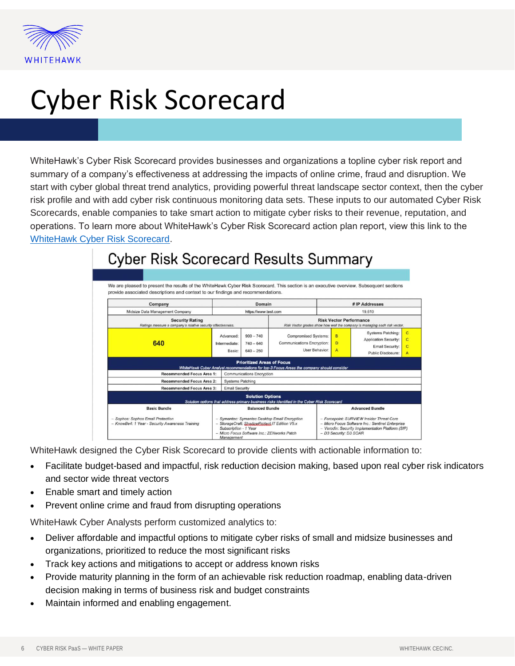

# Cyber Risk Scorecard

WhiteHawk's Cyber Risk Scorecard provides businesses and organizations a topline cyber risk report and summary of a company's effectiveness at addressing the impacts of online crime, fraud and disruption. We start with cyber global threat trend analytics, providing powerful threat landscape sector context, then the cyber risk profile and with add cyber risk continuous monitoring data sets. These inputs to our automated Cyber Risk Scorecards, enable companies to take smart action to mitigate cyber risks to their revenue, reputation, and operations. To learn more about WhiteHawk's Cyber Risk Scorecard action plan report, view this link to the [WhiteHawk Cyber Risk Scorecard.](https://wh-prod-cms-content-514e09bc19798a64.s3.amazonaws.com/cyber_risk_scorecard_indepth_117a9be787.pdf)



## **Cyber Risk Scorecard Results Summary**

WhiteHawk designed the Cyber Risk Scorecard to provide clients with actionable information to:

- Facilitate budget-based and impactful, risk reduction decision making, based upon real cyber risk indicators and sector wide threat vectors
- Enable smart and timely action
- Prevent online crime and fraud from disrupting operations

WhiteHawk Cyber Analysts perform customized analytics to:

- Deliver affordable and impactful options to mitigate cyber risks of small and midsize businesses and organizations, prioritized to reduce the most significant risks
- Track key actions and mitigations to accept or address known risks
- Provide maturity planning in the form of an achievable risk reduction roadmap, enabling data-driven decision making in terms of business risk and budget constraints
- Maintain informed and enabling engagement.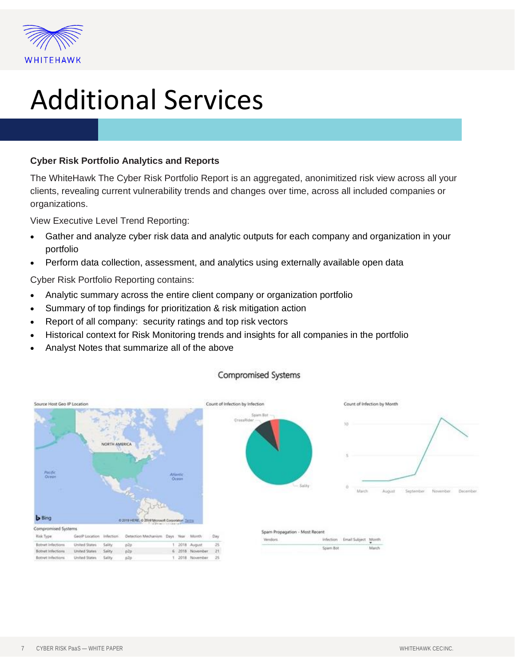

## Additional Services

### **Cyber Risk Portfolio Analytics and Reports**

The WhiteHawk The Cyber Risk Portfolio Report is an aggregated, anonimitized risk view across all your clients, revealing current vulnerability trends and changes over time, across all included companies or organizations.

View Executive Level Trend Reporting:

- Gather and analyze cyber risk data and analytic outputs for each company and organization in your portfolio
- Perform data collection, assessment, and analytics using externally available open data

Cyber Risk Portfolio Reporting contains:

- Analytic summary across the entire client company or organization portfolio
- Summary of top findings for prioritization & risk mitigation action
- Report of all company: security ratings and top risk vectors
- Historical context for Risk Monitoring trends and insights for all companies in the portfolio
- Analyst Notes that summarize all of the above



### Compromised Systems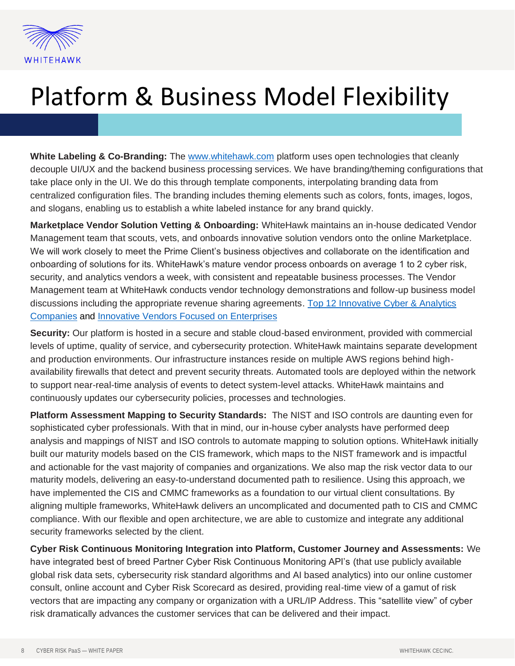

## Platform & Business Model Flexibility

**White Labeling & Co-Branding:** The [www.whitehawk.com](http://www.whitehawk.com/) platform uses open technologies that cleanly decouple UI/UX and the backend business processing services. We have branding/theming configurations that take place only in the UI. We do this through template components, interpolating branding data from centralized configuration files. The branding includes theming elements such as colors, fonts, images, logos, and slogans, enabling us to establish a white labeled instance for any brand quickly.

**Marketplace Vendor Solution Vetting & Onboarding:** WhiteHawk maintains an in-house dedicated Vendor Management team that scouts, vets, and onboards innovative solution vendors onto the online Marketplace. We will work closely to meet the Prime Client's business objectives and collaborate on the identification and onboarding of solutions for its. WhiteHawk's mature vendor process onboards on average 1 to 2 cyber risk, security, and analytics vendors a week, with consistent and repeatable business processes. The Vendor Management team at WhiteHawk conducts vendor technology demonstrations and follow-up business model discussions including the appropriate revenue sharing agreements. [Top 12 Innovative Cyber & Analytics](https://wh-prod-cms-content-514e09bc19798a64.s3.amazonaws.com/White_Hawk_Top_12_Top_numbers_Final_2_3f5d04f441.pdf)  [Companies](https://wh-prod-cms-content-514e09bc19798a64.s3.amazonaws.com/White_Hawk_Top_12_Top_numbers_Final_2_3f5d04f441.pdf) and [Innovative Vendors Focused on Enterprises](https://www.whitehawk.com/innovative-vendors)

**Security:** Our platform is hosted in a secure and stable cloud-based environment, provided with commercial levels of uptime, quality of service, and cybersecurity protection. WhiteHawk maintains separate development and production environments. Our infrastructure instances reside on multiple AWS regions behind highavailability firewalls that detect and prevent security threats. Automated tools are deployed within the network to support near-real-time analysis of events to detect system-level attacks. WhiteHawk maintains and continuously updates our cybersecurity policies, processes and technologies.

**Platform Assessment Mapping to Security Standards:** The NIST and ISO controls are daunting even for sophisticated cyber professionals. With that in mind, our in-house cyber analysts have performed deep analysis and mappings of NIST and ISO controls to automate mapping to solution options. WhiteHawk initially built our maturity models based on the CIS framework, which maps to the NIST framework and is impactful and actionable for the vast majority of companies and organizations. We also map the risk vector data to our maturity models, delivering an easy-to-understand documented path to resilience. Using this approach, we have implemented the CIS and CMMC frameworks as a foundation to our virtual client consultations. By aligning multiple frameworks, WhiteHawk delivers an uncomplicated and documented path to CIS and CMMC compliance. With our flexible and open architecture, we are able to customize and integrate any additional security frameworks selected by the client.

**Cyber Risk Continuous Monitoring Integration into Platform, Customer Journey and Assessments:** We have integrated best of breed Partner Cyber Risk Continuous Monitoring API's (that use publicly available global risk data sets, cybersecurity risk standard algorithms and AI based analytics) into our online customer consult, online account and Cyber Risk Scorecard as desired, providing real-time view of a gamut of risk vectors that are impacting any company or organization with a URL/IP Address. This "satellite view" of cyber risk dramatically advances the customer services that can be delivered and their impact.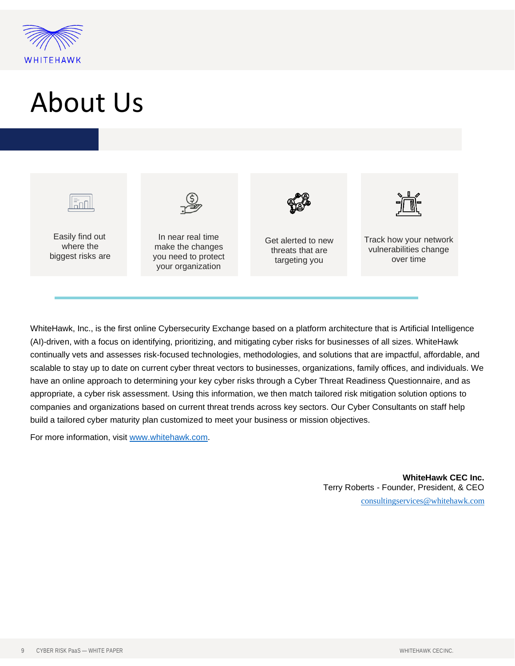

# About Us



Easily find out where the biggest risks are



In near real time make the changes you need to protect your organization



Get alerted to new threats that are targeting you



Track how your network vulnerabilities change over time

WhiteHawk, Inc., is the first online Cybersecurity Exchange based on a platform architecture that is Artificial Intelligence (AI)-driven, with a focus on identifying, prioritizing, and mitigating cyber risks for businesses of all sizes. WhiteHawk continually vets and assesses risk-focused technologies, methodologies, and solutions that are impactful, affordable, and scalable to stay up to date on current cyber threat vectors to businesses, organizations, family offices, and individuals. We have an online approach to determining your key cyber risks through a Cyber Threat Readiness Questionnaire, and as appropriate, a cyber risk assessment. Using this information, we then match tailored risk mitigation solution options to companies and organizations based on current threat trends across key sectors. Our Cyber Consultants on staff help build a tailored cyber maturity plan customized to meet your business or mission objectives.

For more information, visit [www.whitehawk.com.](http://www.whitehawk.com/)

**WhiteHawk CEC Inc.** Terry Roberts - Founder, President, & CEO [consultingservices@whitehawk.com](mailto:consultingservices@whitehawk.com)